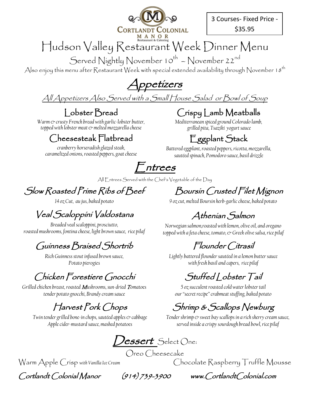

3 Courses- Fixed Price - \$35.95

## Hudson Valley Restaurant Week Dinner Menu

Served Nightly November 10<sup>th</sup> – November 22<sup>nd</sup>

Also enjoy this menu after Restaurant Week with special extended availability through November 18<sup>th</sup>

Appetizers

All Appetizers Also Served with a Small House Salad or Bowl of Soup

#### Lobster Bread *Warm & crusty French bread with garlic-lobster butter,*

Crispy Lamb Meatballs

*Mediterranean spiced ground Colorado lamb, grilled pita, Tsaziki yogurt sauce*

#### *topped with lobster meat & melted mozzarella cheese*  Cheesesteak Flatbread

*cranberry horseradish glazed steak, caramelized onions, roasted peppers, goat cheese*

## Eggplant Stack

*Battered eggplant, roasted peppers, ricotta, mozzarella, sautéed spinach, Pomodoro sauce, basil drizzle*

Entrees

All Entrees Served with the Chef's Vegetable of the Day

### Slow Roasted Prime Ribs of Beef

*14 oz Cut, au jus, baked potato*

### Veal Scaloppini Valdostana

*Breaded veal scaloppini, prosciutto, roasted mushrooms, fontina cheese, light brown sauce, rice pilaf* 

#### Guinness Braised Shortrib

*Rich Guinness stout infused brown sauce, Potato pierogies*

Chicken Forestiere Gnocchi

*Grilled chicken breast, roasted* M*ushrooms, sun-dried* T*omatoes tender potato gnocchi, Brandy cream sauce* 

#### Harvest Pork Chops

*Twin tender grilled bone-in chops, sautéed apples & cabbage Apple cider-mustard sauce, mashed potatoes*

Lessert Select One: Oreo Cheesecake

Cortlandt Colonial Manor (914) 739-3900 www.CortlandtColonial.com

Boursin Crusted Filet Mignon

*9 oz cut, melted Boursin herb-garlic cheese, baked potato*

### Athenian Salmon

*Norwegian salmon,roasted with lemon, olive oil, and oregano topped with a feta cheese, tomato, & Greek olive salsa, rice pilaf*

#### Flounder Citrasil

*Lightly battered flounder sautéed in a lemon butter sauce with fresh basil and capers, rice pilaf*

Stuffed | obster Tail

*5 oz succulent roasted cold water lobster tail our "secret recipe" crabmeat stuffing, baked potato*

### Shrimp & Scallops Newburg

Tender shrimp  $\infty$  sweet bay scallops in a rich sherry cream sauce, *served inside a crispy sourdough bread bowl,rice pilaf*

Warm Apple Crisp with Vanilla Ice Cream **Chocolate Raspberry Truffle Mousse**